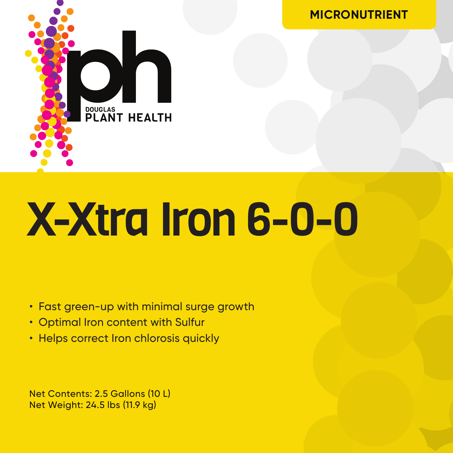

# X-Xtra Iron 6-0-0

**MICRONUTRIENT**

- Fast green-up with minimal surge growth
- Optimal Iron content with Sulfur
- Helps correct Iron chlorosis quickly

Net Contents: 2.5 Gallons (10 L) Net Weight: 24.5 lbs (11.9 kg)